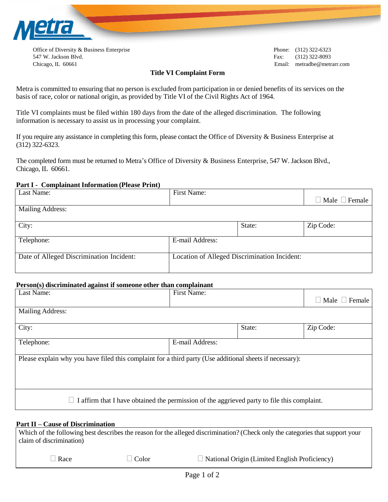

Office of Diversity & Business Enterprise Phone: (312) 322-6323 547 W. Jackson Blvd. Fax: (312) 322-8093 Chicago, IL 60661 Email: metradbe@metrarr.com

## **Title VI Complaint Form**

Metra is committed to ensuring that no person is excluded from participation in or denied benefits of its services on the basis of race, color or national origin, as provided by Title VI of the Civil Rights Act of 1964.

Title VI complaints must be filed within 180 days from the date of the alleged discrimination. The following information is necessary to assist us in processing your complaint.

If you require any assistance in completing this form, please contact the Office of Diversity & Business Enterprise at (312) 322-6323.

The completed form must be returned to Metra's Office of Diversity & Business Enterprise, 547 W. Jackson Blvd., Chicago, IL 60661.

### **Part I - Complainant Information (Please Print)**

| Last Name:                               | First Name:     |                                              | $\Box$ Male $\Box$ Female |
|------------------------------------------|-----------------|----------------------------------------------|---------------------------|
| Mailing Address:                         |                 |                                              |                           |
| City:                                    |                 | State:                                       | Zip Code:                 |
| Telephone:                               | E-mail Address: |                                              |                           |
| Date of Alleged Discrimination Incident: |                 | Location of Alleged Discrimination Incident: |                           |

## **Person(s) discriminated against if someone other than complainant**

| $\sim$ $\sim$<br>Last Name:                                                                              | First Name:     |        | Male $\Box$ Female<br>$\overline{\phantom{a}}$ |  |  |
|----------------------------------------------------------------------------------------------------------|-----------------|--------|------------------------------------------------|--|--|
| Mailing Address:                                                                                         |                 |        |                                                |  |  |
| City:                                                                                                    |                 | State: | Zip Code:                                      |  |  |
| Telephone:                                                                                               | E-mail Address: |        |                                                |  |  |
| Please explain why you have filed this complaint for a third party (Use additional sheets if necessary): |                 |        |                                                |  |  |
| I affirm that I have obtained the permission of the aggrieved party to file this complaint.              |                 |        |                                                |  |  |

#### **Part II – Cause of Discrimination**

Which of the following best describes the reason for the alleged discrimination? (Check only the categories that support your claim of discrimination)

 $\Box$  Race  $\Box$  Color  $\Box$  National Origin (Limited English Proficiency)